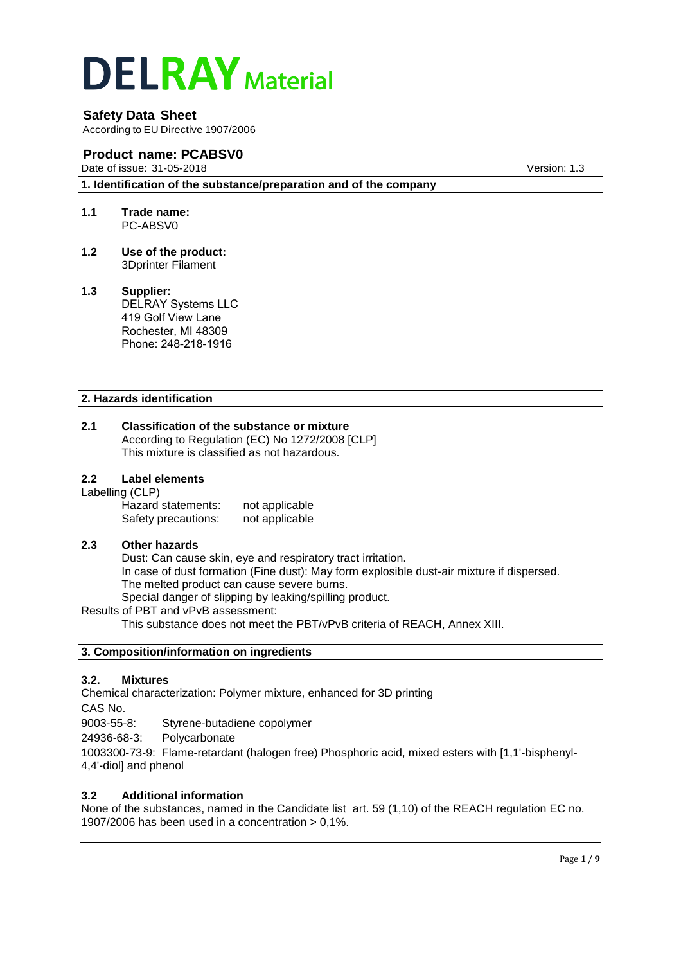## **DELRAY** Material **Safety Data Sheet** According to EU Directive 1907/2006 **Product name: PCABSV0** Date of issue: 31-05-2018 **Version:** 1.3 **1. Identification of the substance/preparation and of the company 1.1 Trade name:**  PC-ABSV0 **1.2 Use of the product:**  3Dprinter Filament **1.3 Supplier:** DELRAY Systems LLC 419 Golf View Lane Rochester, MI 48309 Phone: 248-218-1916 **2. Hazards identification 2.1 Classification of the substance or mixture** According to Regulation (EC) No 1272/2008 [CLP] This mixture is classified as not hazardous. **2.2 Label elements** Labelling (CLP) Hazard statements: not applicable<br>Safety precautions: not applicable Safety precautions: **2.3 Other hazards** Dust: Can cause skin, eye and respiratory tract irritation. In case of dust formation (Fine dust): May form explosible dust-air mixture if dispersed. The melted product can cause severe burns. Special danger of slipping by leaking/spilling product. Results of PBT and vPvB assessment: This substance does not meet the PBT/vPvB criteria of REACH, Annex XIII. **3. Composition/information on ingredients 3.2. Mixtures** Chemical characterization: Polymer mixture, enhanced for 3D printing CAS No. 9003-55-8: Styrene-butadiene copolymer 24936-68-3: Polycarbonate 1003300-73-9: Flame-retardant (halogen free) Phosphoric acid, mixed esters with [1,1'-bisphenyl-4,4'-diol] and phenol

## **3.2 Additional information**

None of the substances, named in the Candidate list art. 59 (1,10) of the REACH regulation EC no. 1907/2006 has been used in a concentration  $> 0.1\%$ .

Page **1** / **9**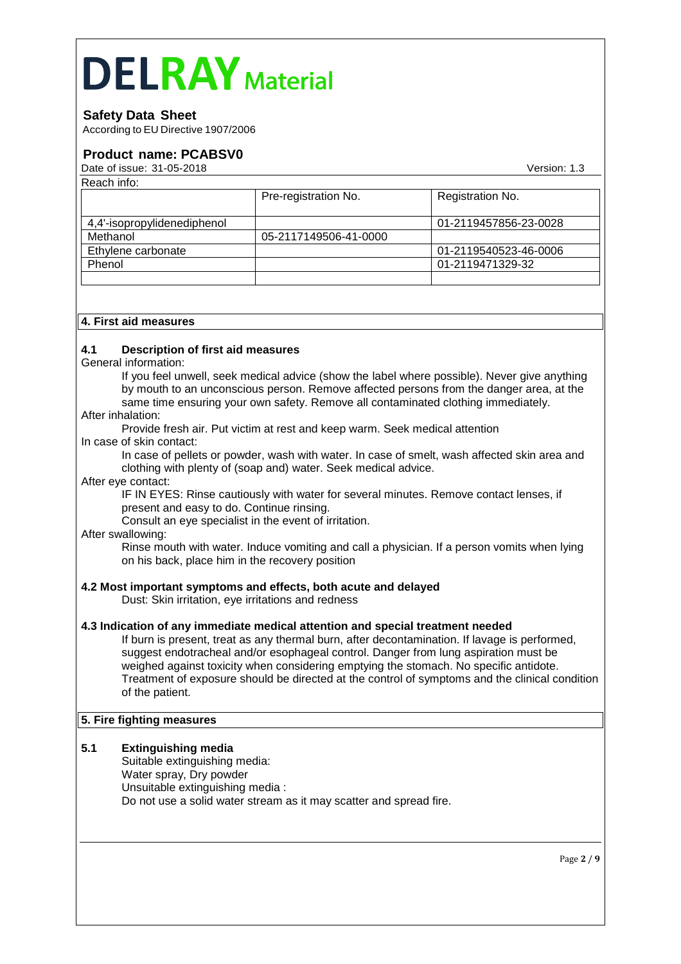## **Safety Data Sheet**

According to EU Directive 1907/2006

## **Product name: PCABSV0**

Date of issue: 31-05-2018 **Version: 1.3** 

| Reach info:                 |                       |                       |
|-----------------------------|-----------------------|-----------------------|
|                             | Pre-registration No.  | Registration No.      |
| 4,4'-isopropylidenediphenol |                       | 01-2119457856-23-0028 |
| Methanol                    | 05-2117149506-41-0000 |                       |
| Ethylene carbonate          |                       | 01-2119540523-46-0006 |
| Phenol                      |                       | 01-2119471329-32      |
|                             |                       |                       |

#### **4. First aid measures**

## **4.1 Description of first aid measures**

General information:

If you feel unwell, seek medical advice (show the label where possible). Never give anything by mouth to an unconscious person. Remove affected persons from the danger area, at the same time ensuring your own safety. Remove all contaminated clothing immediately.

#### After inhalation:

Provide fresh air. Put victim at rest and keep warm. Seek medical attention

#### In case of skin contact:

In case of pellets or powder, wash with water. In case of smelt, wash affected skin area and clothing with plenty of (soap and) water. Seek medical advice.

#### After eye contact:

IF IN EYES: Rinse cautiously with water for several minutes. Remove contact lenses, if present and easy to do. Continue rinsing.

Consult an eye specialist in the event of irritation.

#### After swallowing:

Rinse mouth with water. Induce vomiting and call a physician. If a person vomits when lying on his back, place him in the recovery position

## **4.2 Most important symptoms and effects, both acute and delayed**

Dust: Skin irritation, eye irritations and redness

## **4.3 Indication of any immediate medical attention and special treatment needed**

If burn is present, treat as any thermal burn, after decontamination. If lavage is performed, suggest endotracheal and/or esophageal control. Danger from lung aspiration must be weighed against toxicity when considering emptying the stomach. No specific antidote. Treatment of exposure should be directed at the control of symptoms and the clinical condition of the patient.

## **5. Fire fighting measures**

## **5.1 Extinguishing media**

Suitable extinguishing media: Water spray, Dry powder Unsuitable extinguishing media : Do not use a solid water stream as it may scatter and spread fire.

Page **2** / **9**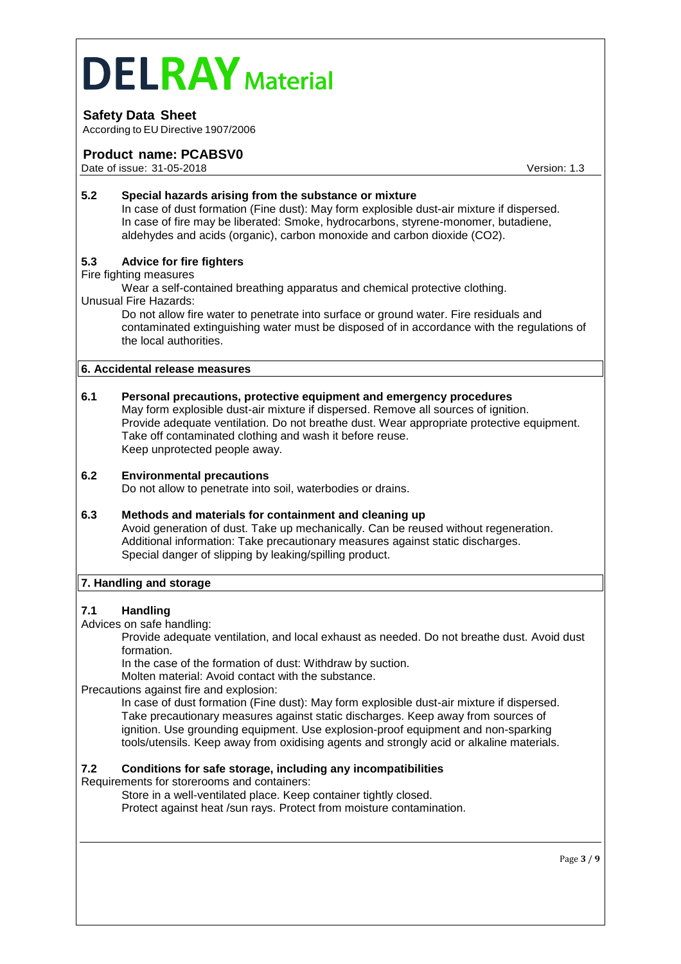## **Safety Data Sheet**

According to EU Directive 1907/2006

## **Product name: PCABSV0**

Date of issue: 31-05-2018 **Version: 1.3** 

## **5.2 Special hazards arising from the substance or mixture**

In case of dust formation (Fine dust): May form explosible dust-air mixture if dispersed. In case of fire may be liberated: Smoke, hydrocarbons, styrene-monomer, butadiene, aldehydes and acids (organic), carbon monoxide and carbon dioxide (CO2).

## **5.3 Advice for fire fighters**

Fire fighting measures

Wear a self-contained breathing apparatus and chemical protective clothing. Unusual Fire Hazards:

Do not allow fire water to penetrate into surface or ground water. Fire residuals and contaminated extinguishing water must be disposed of in accordance with the regulations of the local authorities.

## **6. Accidental release measures**

## **6.1 Personal precautions, protective equipment and emergency procedures**

May form explosible dust-air mixture if dispersed. Remove all sources of ignition. Provide adequate ventilation. Do not breathe dust. Wear appropriate protective equipment. Take off contaminated clothing and wash it before reuse. Keep unprotected people away.

## **6.2 Environmental precautions**

Do not allow to penetrate into soil, waterbodies or drains.

**6.3 Methods and materials for containment and cleaning up** Avoid generation of dust. Take up mechanically. Can be reused without regeneration. Additional information: Take precautionary measures against static discharges. Special danger of slipping by leaking/spilling product.

## **7. Handling and storage**

## **7.1 Handling**

## Advices on safe handling:

Provide adequate ventilation, and local exhaust as needed. Do not breathe dust. Avoid dust formation.

In the case of the formation of dust: Withdraw by suction.

Molten material: Avoid contact with the substance.

Precautions against fire and explosion:

In case of dust formation (Fine dust): May form explosible dust-air mixture if dispersed. Take precautionary measures against static discharges. Keep away from sources of ignition. Use grounding equipment. Use explosion-proof equipment and non-sparking tools/utensils. Keep away from oxidising agents and strongly acid or alkaline materials.

## **7.2 Conditions for safe storage, including any incompatibilities**

Requirements for storerooms and containers:

Store in a well-ventilated place. Keep container tightly closed. Protect against heat /sun rays. Protect from moisture contamination.

Page **3** / **9**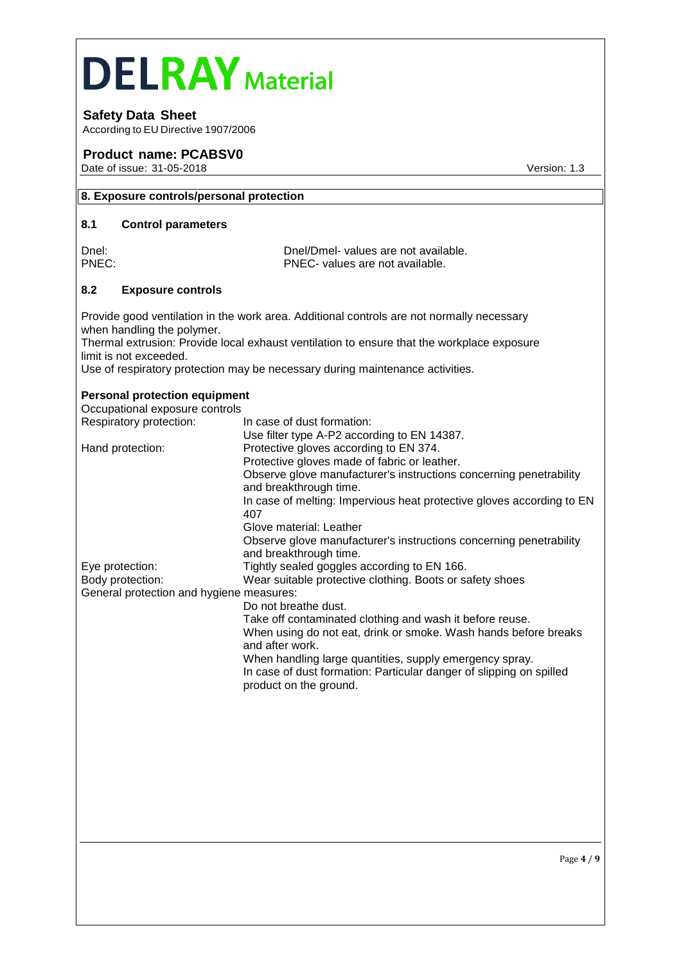## **Safety Data Sheet**

According to EU Directive 1907/2006

## **Product name: PCABSV0**

Date of issue: 31-05-2018 Version: 1.3

## **8. Exposure controls/personal protection**

#### **8.1 Control parameters**

Dnel: Dnel/Dmel- values are not available.<br>
PNEC: PNEC: PNEC- values are not available. PNEC: PNEC- values are not available.

## **8.2 Exposure controls**

Provide good ventilation in the work area. Additional controls are not normally necessary when handling the polymer. Thermal extrusion: Provide local exhaust ventilation to ensure that the workplace exposure limit is not exceeded.

Use of respiratory protection may be necessary during maintenance activities.

#### **Personal protection equipment**

Occupational exposure controls

| Respiratory protection:                  | In case of dust formation:                                                                    |
|------------------------------------------|-----------------------------------------------------------------------------------------------|
|                                          | Use filter type A-P2 according to EN 14387.                                                   |
| Hand protection:                         | Protective gloves according to EN 374.                                                        |
|                                          | Protective gloves made of fabric or leather.                                                  |
|                                          | Observe glove manufacturer's instructions concerning penetrability                            |
|                                          | and breakthrough time.                                                                        |
|                                          | In case of melting: Impervious heat protective gloves according to EN                         |
|                                          | 407                                                                                           |
|                                          | Glove material: Leather                                                                       |
|                                          | Observe glove manufacturer's instructions concerning penetrability                            |
|                                          | and breakthrough time.                                                                        |
| Eye protection:                          | Tightly sealed goggles according to EN 166.                                                   |
| Body protection:                         | Wear suitable protective clothing. Boots or safety shoes                                      |
| General protection and hygiene measures: |                                                                                               |
|                                          | Do not breathe dust.                                                                          |
|                                          | Take off contaminated clothing and wash it before reuse.                                      |
|                                          | When using do not eat, drink or smoke. Wash hands before breaks                               |
|                                          | and after work.                                                                               |
|                                          | When handling large quantities, supply emergency spray.                                       |
|                                          | In case of dust formation: Particular danger of slipping on spilled<br>product on the ground. |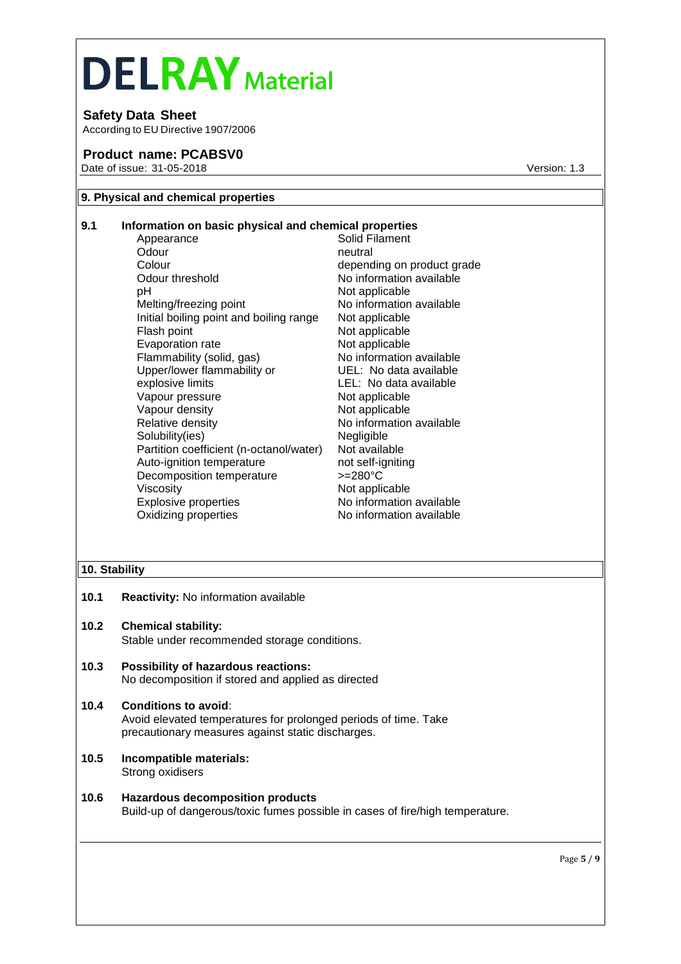## **Safety Data Sheet**

According to EU Directive 1907/2006

## **Product name: PCABSV0**

Date of issue: 31-05-2018 Version: 1.3

## **9. Physical and chemical properties**

## **9.1 Information on basic physical and chemical properties**

Appearance Solid Filament<br>
Odour extension of the Solid Filament<br>
Odour Odour neutral neutral<br>Colour dependent dependent Colour<br>
Colour threshold<br>
Colour threshold<br>
Colour threshold<br>
Colour threshold<br>
Colour Colour Colour Colour No information available Odour threshold No information available<br>pH Not applicable pH<br>Mot applicable<br>Melting/freezing point Motor No Initial boiling point and boiling range Not applicable<br>Flash point Not applicable Evaporation rate<br>
Flammability (solid. qas) No information available Flammability (solid, gas) Upper/lower flammability or explosive limits Vapour pressure<br>
Vapour density<br>
Vapour density<br>
Vapour density Vapour density<br>Relative density Solubility(ies) Negligible Partition coefficient (n-octanol/water) Not available<br>Auto-ignition temperature not self-igniting Auto-ignition temperature Decomposition temperature  $> = 280^{\circ}$ C Viscosity<br>
Explosive properties<br>
No information<br>
No information Oxidizing properties No information available

No information available Not applicable<br>Not applicable UEL: No data available LEL: No data available<br>Not applicable No information available No information available

## **10. Stability**

|      | 10. Stability                                                                                                                                |     |
|------|----------------------------------------------------------------------------------------------------------------------------------------------|-----|
| 10.1 | Reactivity: No information available                                                                                                         |     |
| 10.2 | <b>Chemical stability:</b><br>Stable under recommended storage conditions.                                                                   |     |
| 10.3 | <b>Possibility of hazardous reactions:</b><br>No decomposition if stored and applied as directed                                             |     |
| 10.4 | Conditions to avoid:<br>Avoid elevated temperatures for prolonged periods of time. Take<br>precautionary measures against static discharges. |     |
| 10.5 | Incompatible materials:<br>Strong oxidisers                                                                                                  |     |
| 10.6 | <b>Hazardous decomposition products</b><br>Build-up of dangerous/toxic fumes possible in cases of fire/high temperature.                     |     |
|      |                                                                                                                                              | Pag |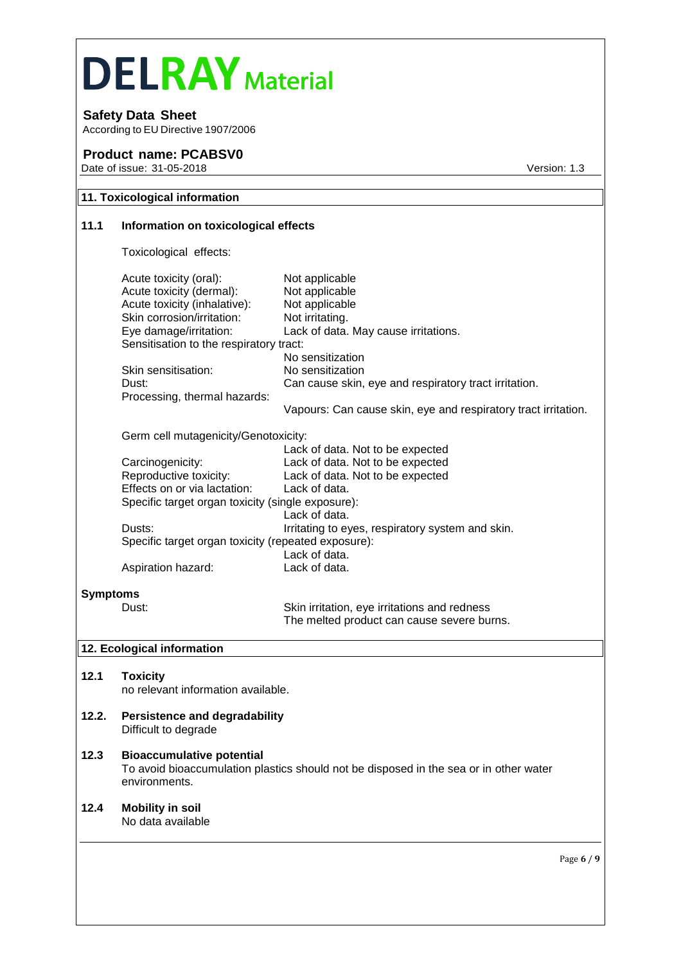## **Safety Data Sheet**

According to EU Directive 1907/2006

## **Product name: PCABSV0**

Date of issue: 31-05-2018 Version: 1.3

## **11. Toxicological information**

## **11.1 Information on toxicological effects**

|                 | Toxicological effects:                              |                                                                |  |  |
|-----------------|-----------------------------------------------------|----------------------------------------------------------------|--|--|
|                 | Acute toxicity (oral):                              | Not applicable                                                 |  |  |
|                 | Acute toxicity (dermal):                            | Not applicable                                                 |  |  |
|                 | Acute toxicity (inhalative):                        | Not applicable                                                 |  |  |
|                 | Skin corrosion/irritation:                          | Not irritating.                                                |  |  |
|                 | Eye damage/irritation:                              | Lack of data. May cause irritations.                           |  |  |
|                 | Sensitisation to the respiratory tract:             |                                                                |  |  |
|                 |                                                     | No sensitization                                               |  |  |
|                 | Skin sensitisation:                                 | No sensitization                                               |  |  |
|                 | Dust:                                               | Can cause skin, eye and respiratory tract irritation.          |  |  |
|                 | Processing, thermal hazards:                        |                                                                |  |  |
|                 |                                                     | Vapours: Can cause skin, eye and respiratory tract irritation. |  |  |
|                 | Germ cell mutagenicity/Genotoxicity:                |                                                                |  |  |
|                 |                                                     | Lack of data. Not to be expected                               |  |  |
|                 | Carcinogenicity:                                    | Lack of data. Not to be expected                               |  |  |
|                 | Reproductive toxicity:                              | Lack of data. Not to be expected                               |  |  |
|                 | Effects on or via lactation:                        | Lack of data.                                                  |  |  |
|                 | Specific target organ toxicity (single exposure):   |                                                                |  |  |
|                 |                                                     | Lack of data.                                                  |  |  |
|                 | Dusts:                                              | Irritating to eyes, respiratory system and skin.               |  |  |
|                 | Specific target organ toxicity (repeated exposure): |                                                                |  |  |
|                 |                                                     | Lack of data.                                                  |  |  |
|                 | Aspiration hazard:                                  | Lack of data.                                                  |  |  |
| <b>Symptoms</b> |                                                     |                                                                |  |  |
|                 | Dust:                                               | Skin irritation, eye irritations and redness                   |  |  |

## **12. Ecological information**

- **12.1 Toxicity** no relevant information available.
- **12.2. Persistence and degradability** Difficult to degrade

## **12.3 Bioaccumulative potential**

To avoid bioaccumulation plastics should not be disposed in the sea or in other water environments.

The melted product can cause severe burns.

**12.4 Mobility in soil**

No data available

Page **6** / **9**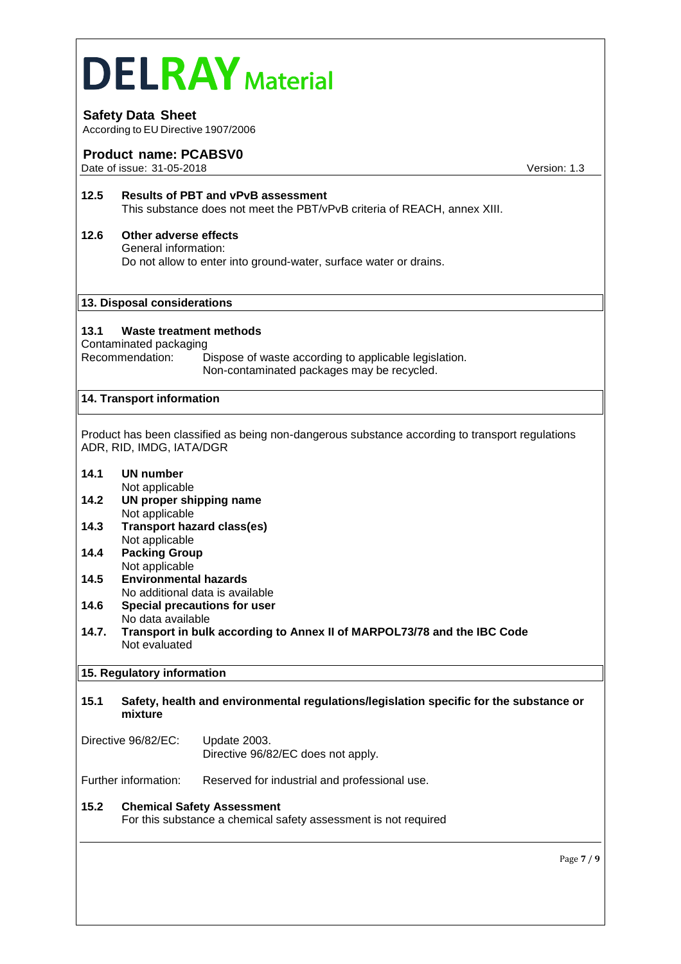|                                                       |                                                                                                                                                                                                                                                        | <b>DELRAY</b> Material                                                                                                                     |              |  |
|-------------------------------------------------------|--------------------------------------------------------------------------------------------------------------------------------------------------------------------------------------------------------------------------------------------------------|--------------------------------------------------------------------------------------------------------------------------------------------|--------------|--|
|                                                       | <b>Safety Data Sheet</b><br>According to EU Directive 1907/2006                                                                                                                                                                                        |                                                                                                                                            |              |  |
|                                                       | <b>Product name: PCABSV0</b><br>Date of issue: 31-05-2018                                                                                                                                                                                              |                                                                                                                                            | Version: 1.3 |  |
| $12.5$                                                |                                                                                                                                                                                                                                                        | <b>Results of PBT and vPvB assessment</b><br>This substance does not meet the PBT/vPvB criteria of REACH, annex XIII.                      |              |  |
| 12.6                                                  | Other adverse effects<br>General information:<br>Do not allow to enter into ground-water, surface water or drains.                                                                                                                                     |                                                                                                                                            |              |  |
|                                                       | 13. Disposal considerations                                                                                                                                                                                                                            |                                                                                                                                            |              |  |
| 13.1                                                  | Waste treatment methods<br>Contaminated packaging<br>Recommendation:                                                                                                                                                                                   | Dispose of waste according to applicable legislation.<br>Non-contaminated packages may be recycled.                                        |              |  |
|                                                       | 14. Transport information                                                                                                                                                                                                                              |                                                                                                                                            |              |  |
|                                                       | ADR, RID, IMDG, IATA/DGR                                                                                                                                                                                                                               | Product has been classified as being non-dangerous substance according to transport regulations                                            |              |  |
| 14.1<br>14.2<br>14.3<br>14.4<br>14.5<br>14.6<br>14.7. | <b>UN number</b><br>Not applicable<br>UN proper shipping name<br>Not applicable<br><b>Transport hazard class(es)</b><br>Not applicable<br><b>Packing Group</b><br>Not applicable<br><b>Environmental hazards</b><br>No data available<br>Not evaluated | No additional data is available<br>Special precautions for user<br>Transport in bulk according to Annex II of MARPOL73/78 and the IBC Code |              |  |
|                                                       | 15. Regulatory information                                                                                                                                                                                                                             |                                                                                                                                            |              |  |
| 15.1                                                  | mixture                                                                                                                                                                                                                                                | Safety, health and environmental regulations/legislation specific for the substance or                                                     |              |  |
|                                                       | Directive 96/82/EC:                                                                                                                                                                                                                                    | Update 2003.<br>Directive 96/82/EC does not apply.                                                                                         |              |  |
|                                                       | Further information:                                                                                                                                                                                                                                   | Reserved for industrial and professional use.                                                                                              |              |  |
| 15.2                                                  |                                                                                                                                                                                                                                                        | <b>Chemical Safety Assessment</b><br>For this substance a chemical safety assessment is not required                                       |              |  |
|                                                       |                                                                                                                                                                                                                                                        |                                                                                                                                            | Page 7 / 9   |  |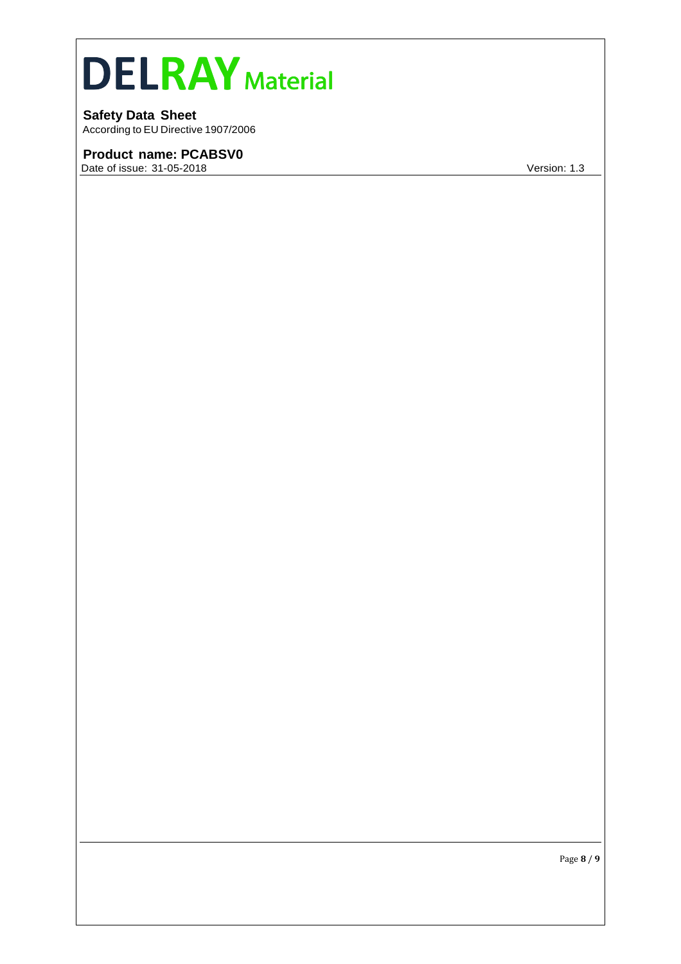**Safety Data Sheet** According to EU Directive 1907/2006

**Product name: PCABSV0**

Date of issue: 31-05-2018 Version: 1.3

Page **8** / **9**